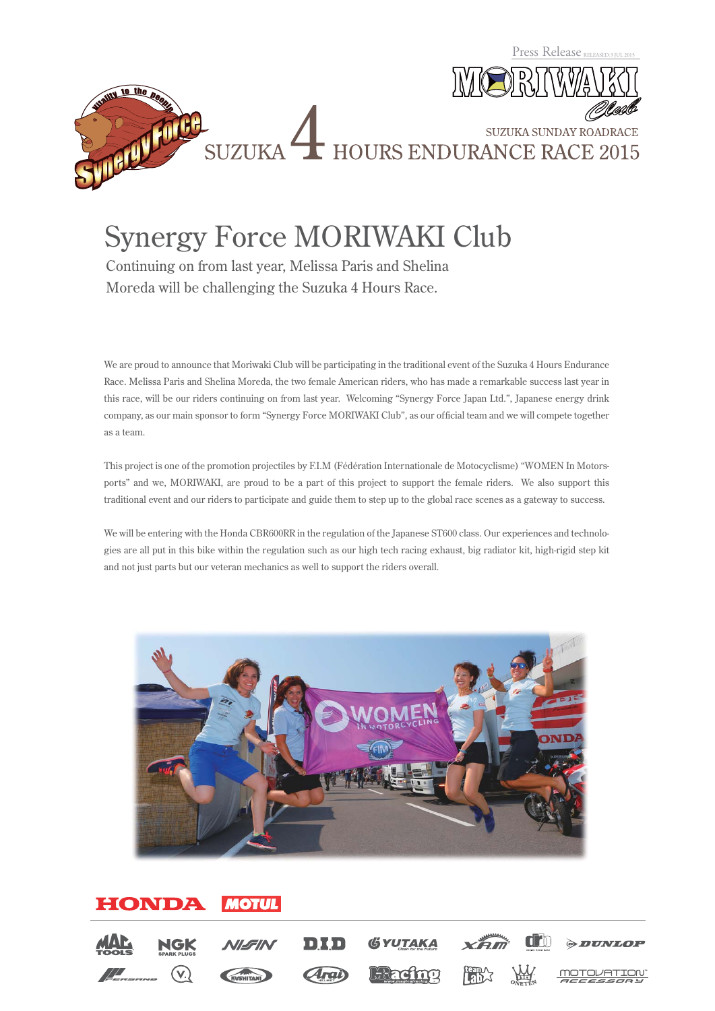LORIN



SUZUKA HOURS ENDURANCE RACE 2015 SUZUKA SUNDAY ROADRACE

# Synergy Force MORIWAKI Club

Continuing on from last year, Melissa Paris and Shelina Moreda will be challenging the Suzuka 4 Hours Race.

We are proud to announce that Moriwaki Club will be participating in the traditional event of the Suzuka 4 Hours Endurance Race. Melissa Paris and Shelina Moreda, the two female American riders, who has made a remarkable success last year in this race, will be our riders continuing on from last year. Welcoming "Synergy Force Japan Ltd.", Japanese energy drink company, as our main sponsor to form "Synergy Force MORIWAKI Club", as our official team and we will compete together as a team.

This project is one of the promotion projectiles by F.I.M (Fédération Internationale de Motocyclisme) "WOMEN In Motorsports" and we, MORIWAKI, are proud to be a part of this project to support the female riders. We also support this traditional event and our riders to participate and guide them to step up to the global race scenes as a gateway to success.

We will be entering with the Honda CBR600RR in the regulation of the Japanese ST600 class. Our experiences and technologies are all put in this bike within the regulation such as our high tech racing exhaust, big radiator kit, high-rigid step kit and not just parts but our veteran mechanics as well to support the riders overall.



#### **HONDA MOTUL**

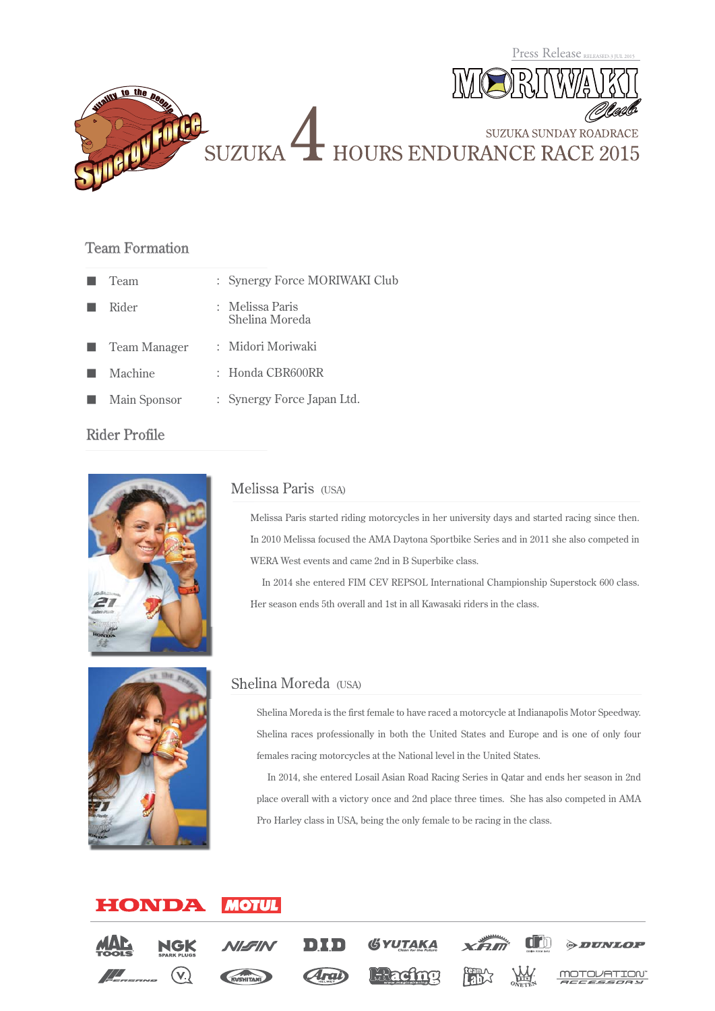$\mathbb{R}$ 



SUZUKA HOURS ENDURANCE RACE 2015

#### Team Formation

|   | Team                  | : Synergy Force MORIWAKI Club     |
|---|-----------------------|-----------------------------------|
|   | Rider                 | : Melissa Paris<br>Shelina Moreda |
|   | <b>E</b> Team Manager | : Midori Moriwaki                 |
| ٠ | Machine               | $:$ Honda CBR600RR                |
| ш | Main Sponsor          | : Synergy Force Japan Ltd.        |
|   |                       |                                   |

### Rider Profile



#### Melissa Paris (USA)

Melissa Paris started riding motorcycles in her university days and started racing since then. In 2010 Melissa focused the AMA Daytona Sportbike Series and in 2011 she also competed in WERA West events and came 2nd in B Superbike class.

 In 2014 she entered FIM CEV REPSOL International Championship Superstock 600 class. Her season ends 5th overall and 1st in all Kawasaki riders in the class.



#### Shelina Moreda (USA)

Shelina Moreda is the first female to have raced a motorcycle at Indianapolis Motor Speedway. Shelina races professionally in both the United States and Europe and is one of only four females racing motorcycles at the National level in the United States.

 In 2014, she entered Losail Asian Road Racing Series in Qatar and ends her season in 2nd place overall with a victory once and 2nd place three times. She has also competed in AMA Pro Harley class in USA, being the only female to be racing in the class.

#### HONDA **MOTUL**